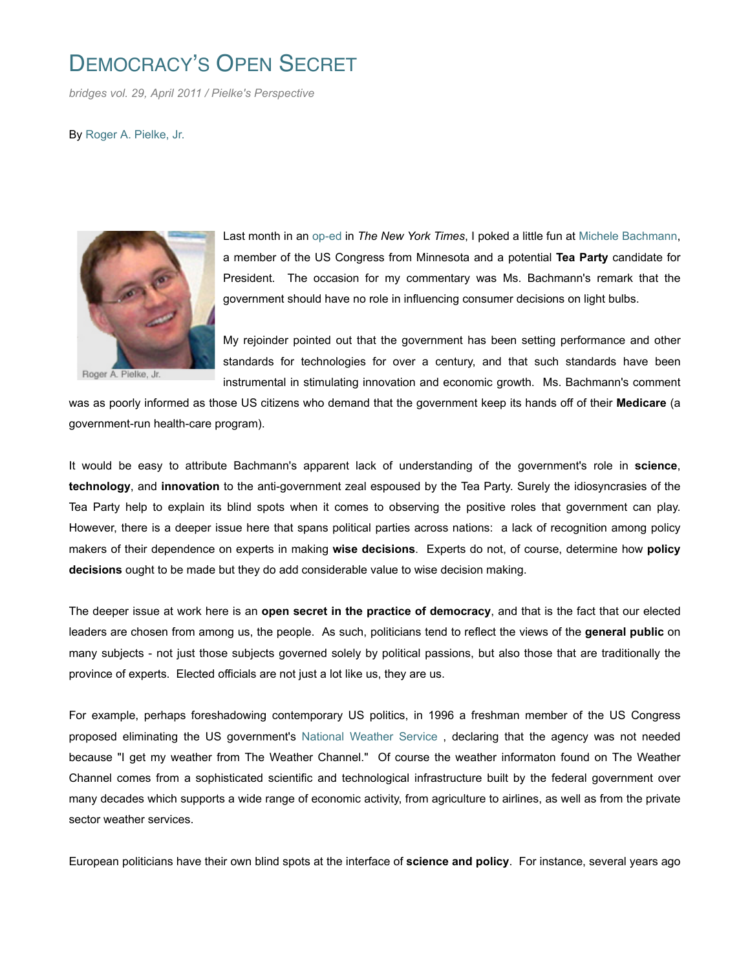## DEMOCRACY'S OPEN SECRET

*bridges vol. 29, April 2011 / Pielke's Perspective*

By Roger A. Pielke, Jr.



Roger A. Pielke, Jr.

Last month in an op-ed in *The New York Times*, I poked a little fun at Michele Bachmann, a member of the US Congress from Minnesota and a potential **Tea Party** candidate for President. The occasion for my commentary was Ms. Bachmann's remark that the government should have no role in influencing consumer decisions on light bulbs.

My rejoinder pointed out that the government has been setting performance and other standards for technologies for over a century, and that such standards have been instrumental in stimulating innovation and economic growth. Ms. Bachmann's comment

was as poorly informed as those US citizens who demand that the government keep its hands off of their **Medicare** (a government-run health-care program).

It would be easy to attribute Bachmann's apparent lack of understanding of the government's role in **science**, **technology**, and **innovation** to the anti-government zeal espoused by the Tea Party. Surely the idiosyncrasies of the Tea Party help to explain its blind spots when it comes to observing the positive roles that government can play. However, there is a deeper issue here that spans political parties across nations: a lack of recognition among policy makers of their dependence on experts in making **wise decisions**. Experts do not, of course, determine how **policy decisions** ought to be made but they do add considerable value to wise decision making.

The deeper issue at work here is an **open secret in the practice of democracy**, and that is the fact that our elected leaders are chosen from among us, the people. As such, politicians tend to reflect the views of the **general public** on many subjects - not just those subjects governed solely by political passions, but also those that are traditionally the province of experts. Elected officials are not just a lot like us, they are us.

For example, perhaps foreshadowing contemporary US politics, in 1996 a freshman member of the US Congress proposed eliminating the US government's National Weather Service , declaring that the agency was not needed because "I get my weather from The Weather Channel." Of course the weather informaton found on The Weather Channel comes from a sophisticated scientific and technological infrastructure built by the federal government over many decades which supports a wide range of economic activity, from agriculture to airlines, as well as from the private sector weather services.

European politicians have their own blind spots at the interface of **science and policy**. For instance, several years ago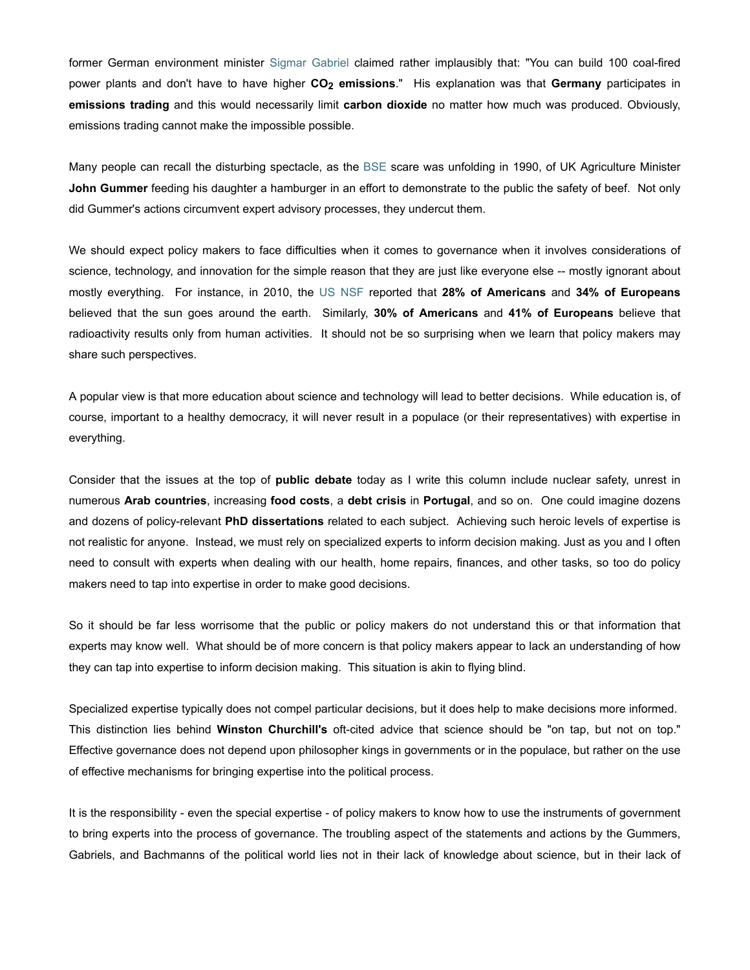former German environment minister Sigmar Gabriel claimed rather implausibly that: "You can build 100 coal-fired power plants and don't have to have higher **CO2 emissions**." His explanation was that **Germany** participates in **emissions trading** and this would necessarily limit **carbon dioxide** no matter how much was produced. Obviously, emissions trading cannot make the impossible possible.

Many people can recall the disturbing spectacle, as the BSE scare was unfolding in 1990, of UK Agriculture Minister **John Gummer** feeding his daughter a hamburger in an effort to demonstrate to the public the safety of beef. Not only did Gummer's actions circumvent expert advisory processes, they undercut them.

We should expect policy makers to face difficulties when it comes to governance when it involves considerations of science, technology, and innovation for the simple reason that they are just like everyone else -- mostly ignorant about mostly everything. For instance, in 2010, the US NSF reported that **28% of Americans** and **34% of Europeans** believed that the sun goes around the earth. Similarly, **30% of Americans** and **41% of Europeans** believe that radioactivity results only from human activities. It should not be so surprising when we learn that policy makers may share such perspectives.

A popular view is that more education about science and technology will lead to better decisions. While education is, of course, important to a healthy democracy, it will never result in a populace (or their representatives) with expertise in everything.

Consider that the issues at the top of **public debate** today as I write this column include nuclear safety, unrest in numerous **Arab countries**, increasing **food costs**, a **debt crisis** in **Portugal**, and so on. One could imagine dozens and dozens of policy-relevant **PhD dissertations** related to each subject. Achieving such heroic levels of expertise is not realistic for anyone. Instead, we must rely on specialized experts to inform decision making. Just as you and I often need to consult with experts when dealing with our health, home repairs, finances, and other tasks, so too do policy makers need to tap into expertise in order to make good decisions.

So it should be far less worrisome that the public or policy makers do not understand this or that information that experts may know well. What should be of more concern is that policy makers appear to lack an understanding of how they can tap into expertise to inform decision making. This situation is akin to flying blind.

Specialized expertise typically does not compel particular decisions, but it does help to make decisions more informed. This distinction lies behind **Winston Churchill's** oft-cited advice that science should be "on tap, but not on top." Effective governance does not depend upon philosopher kings in governments or in the populace, but rather on the use of effective mechanisms for bringing expertise into the political process.

It is the responsibility - even the special expertise - of policy makers to know how to use the instruments of government to bring experts into the process of governance. The troubling aspect of the statements and actions by the Gummers, Gabriels, and Bachmanns of the political world lies not in their lack of knowledge about science, but in their lack of